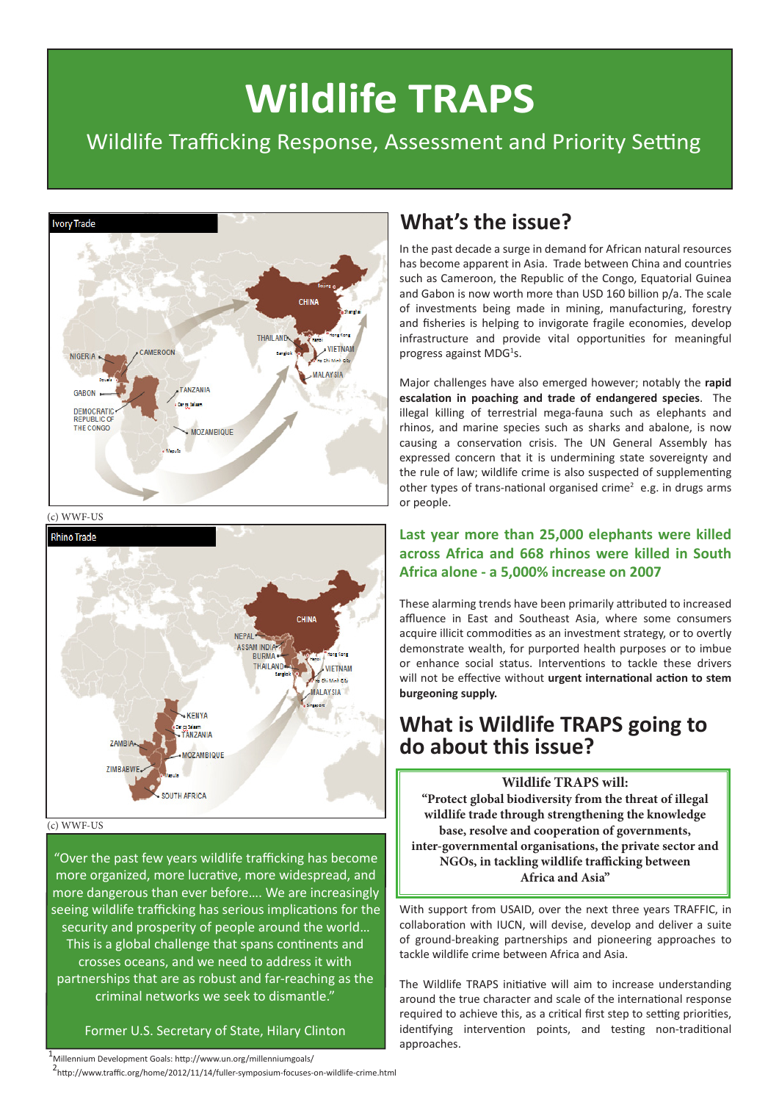# **Wildlife TRAPS**

## Wildlife Trafficking Response, Assessment and Priority Setting



# **What's the issue?**

In the past decade a surge in demand for African natural resources has become apparent in Asia. Trade between China and countries such as Cameroon, the Republic of the Congo, Equatorial Guinea and Gabon is now worth more than USD 160 billion p/a. The scale of investments being made in mining, manufacturing, forestry and fisheries is helping to invigorate fragile economies, develop infrastructure and provide vital opportunities for meaningful progress against MDG<sup>1</sup>s.

Major challenges have also emerged however; notably the **rapid escalation in poaching and trade of endangered species**. The illegal killing of terrestrial mega-fauna such as elephants and rhinos, and marine species such as sharks and abalone, is now causing a conservation crisis. The UN General Assembly has expressed concern that it is undermining state sovereignty and the rule of law; wildlife crime is also suspected of supplementing other types of trans-national organised crime<sup>2</sup> e.g. in drugs arms or people.

#### **Last year more than 25,000 elephants were killed across Africa and 668 rhinos were killed in South Africa alone - a 5,000% increase on 2007**

These alarming trends have been primarily attributed to increased affluence in East and Southeast Asia, where some consumers acquire illicit commodities as an investment strategy, or to overtly demonstrate wealth, for purported health purposes or to imbue or enhance social status. Interventions to tackle these drivers will not be effective without **urgent international action to stem burgeoning supply.**

## **What is Wildlife TRAPS going to do about this issue?**

**Wildlife TRAPS will: "Protect global biodiversity from the threat of illegal wildlife trade through strengthening the knowledge base, resolve and cooperation of governments, inter-governmental organisations, the private sector and NGOs, in tackling wildlife trafficking between Africa and Asia"**

With support from USAID, over the next three years TRAFFIC, in collaboration with IUCN, will devise, develop and deliver a suite of ground-breaking partnerships and pioneering approaches to tackle wildlife crime between Africa and Asia.

The Wildlife TRAPS initiative will aim to increase understanding around the true character and scale of the international response required to achieve this, as a critical first step to setting priorities, identifying intervention points, and testing non-traditional approaches.





#### (c) WWF-US

"Over the past few years wildlife trafficking has become more organized, more lucrative, more widespread, and more dangerous than ever before…. We are increasingly seeing wildlife trafficking has serious implications for the security and prosperity of people around the world… This is a global challenge that spans continents and crosses oceans, and we need to address it with partnerships that are as robust and far-reaching as the criminal networks we seek to dismantle."

#### Former U.S. Secretary of State, Hilary Clinton

1 Millennium Development Goals: http://www.un.org/millenniumgoals/

<sup>2</sup>http://www.traffic.org/home/2012/11/14/fuller-symposium-focuses-on-wildlife-crime.html